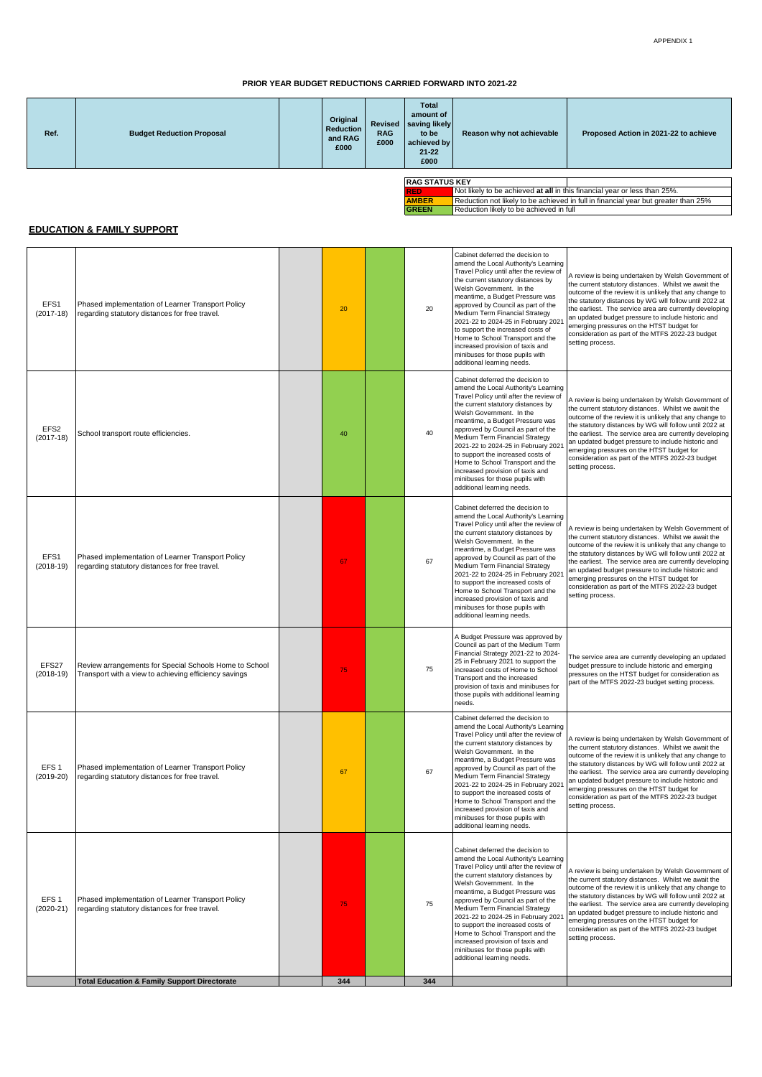## **PRIOR YEAR BUDGET REDUCTIONS CARRIED FORWARD INTO 2021-22**

| Ref. | <b>Budget Reduction Proposal</b> | Original<br><b>Reduction</b><br>and RAG<br>£000 | <b>RAG</b><br>£000 | <b>Total</b><br>amount of<br>Revised saving likely<br>to be<br>achieved by<br>$21 - 22$<br>£000 | Reason why not achievable                                                 | Proposed Action in 2021-22 to achieve |
|------|----------------------------------|-------------------------------------------------|--------------------|-------------------------------------------------------------------------------------------------|---------------------------------------------------------------------------|---------------------------------------|
|      |                                  |                                                 |                    |                                                                                                 |                                                                           |                                       |
|      |                                  |                                                 |                    | <b>RAG STATUS KEY</b>                                                                           |                                                                           |                                       |
|      |                                  |                                                 |                    | <b>RED</b>                                                                                      | Not likely to be achieved at all in this financial year or less than 25%. |                                       |

| <b>KAG SIAIUS NET</b> |                                                                                    |  |  |  |  |  |
|-----------------------|------------------------------------------------------------------------------------|--|--|--|--|--|
| <b>RFD</b>            | Not likely to be achieved at all in this financial year or less than 25%.          |  |  |  |  |  |
| <b>AMBER</b>          | Reduction not likely to be achieved in full in financial year but greater than 25% |  |  |  |  |  |
| <b>GREEN</b>          | Reduction likely to be achieved in full                                            |  |  |  |  |  |

## **EDUCATION & FAMILY SUPPORT**

| EFS1<br>$(2017-18)$             | Phased implementation of Learner Transport Policy<br>regarding statutory distances for free travel.             | 20  | 20  | Cabinet deferred the decision to<br>amend the Local Authority's Learning<br>Travel Policy until after the review of<br>the current statutory distances by<br>Welsh Government. In the<br>meantime, a Budget Pressure was<br>approved by Council as part of the<br>Medium Term Financial Strategy<br>2021-22 to 2024-25 in February 2021<br>to support the increased costs of<br>Home to School Transport and the<br>increased provision of taxis and<br>minibuses for those pupils with<br>additional learning needs. | A review is being undertaken by Welsh Government of<br>the current statutory distances. Whilst we await the<br>outcome of the review it is unlikely that any change to<br>the statutory distances by WG will follow until 2022 at<br>the earliest. The service area are currently developing<br>an updated budget pressure to include historic and<br>emerging pressures on the HTST budget for<br>consideration as part of the MTFS 2022-23 budget<br>setting process. |
|---------------------------------|-----------------------------------------------------------------------------------------------------------------|-----|-----|-----------------------------------------------------------------------------------------------------------------------------------------------------------------------------------------------------------------------------------------------------------------------------------------------------------------------------------------------------------------------------------------------------------------------------------------------------------------------------------------------------------------------|-------------------------------------------------------------------------------------------------------------------------------------------------------------------------------------------------------------------------------------------------------------------------------------------------------------------------------------------------------------------------------------------------------------------------------------------------------------------------|
| EFS <sub>2</sub><br>$(2017-18)$ | School transport route efficiencies.                                                                            | 40  | 40  | Cabinet deferred the decision to<br>amend the Local Authority's Learning<br>Travel Policy until after the review of<br>the current statutory distances by<br>Welsh Government. In the<br>meantime, a Budget Pressure was<br>approved by Council as part of the<br>Medium Term Financial Strategy<br>2021-22 to 2024-25 in February 2021<br>to support the increased costs of<br>Home to School Transport and the<br>increased provision of taxis and<br>minibuses for those pupils with<br>additional learning needs. | A review is being undertaken by Welsh Government of<br>the current statutory distances. Whilst we await the<br>outcome of the review it is unlikely that any change to<br>the statutory distances by WG will follow until 2022 at<br>the earliest. The service area are currently developing<br>an updated budget pressure to include historic and<br>emerging pressures on the HTST budget for<br>consideration as part of the MTFS 2022-23 budget<br>setting process. |
| EFS1<br>$(2018-19)$             | Phased implementation of Learner Transport Policy<br>regarding statutory distances for free travel.             | 67  | 67  | Cabinet deferred the decision to<br>amend the Local Authority's Learning<br>Travel Policy until after the review of<br>the current statutory distances by<br>Welsh Government. In the<br>meantime, a Budget Pressure was<br>approved by Council as part of the<br>Medium Term Financial Strategy<br>2021-22 to 2024-25 in February 2021<br>to support the increased costs of<br>Home to School Transport and the<br>increased provision of taxis and<br>minibuses for those pupils with<br>additional learning needs. | A review is being undertaken by Welsh Government of<br>the current statutory distances. Whilst we await the<br>outcome of the review it is unlikely that any change to<br>the statutory distances by WG will follow until 2022 at<br>the earliest. The service area are currently developing<br>an updated budget pressure to include historic and<br>emerging pressures on the HTST budget for<br>consideration as part of the MTFS 2022-23 budget<br>setting process. |
| EFS27<br>$(2018-19)$            | Review arrangements for Special Schools Home to School<br>Transport with a view to achieving efficiency savings | 75  | 75  | A Budget Pressure was approved by<br>Council as part of the Medium Term<br>Financial Strategy 2021-22 to 2024-<br>25 in February 2021 to support the<br>increased costs of Home to School<br>Transport and the increased<br>provision of taxis and minibuses for<br>those pupils with additional learning<br>needs.                                                                                                                                                                                                   | The service area are currently developing an updated<br>budget pressure to include historic and emerging<br>pressures on the HTST budget for consideration as<br>part of the MTFS 2022-23 budget setting process.                                                                                                                                                                                                                                                       |
| EFS <sub>1</sub><br>$(2019-20)$ | Phased implementation of Learner Transport Policy<br>regarding statutory distances for free travel.             | 67  | 67  | Cabinet deferred the decision to<br>amend the Local Authority's Learning<br>Travel Policy until after the review of<br>the current statutory distances by<br>Welsh Government. In the<br>meantime, a Budget Pressure was<br>approved by Council as part of the<br>Medium Term Financial Strategy<br>2021-22 to 2024-25 in February 2021<br>to support the increased costs of<br>Home to School Transport and the<br>increased provision of taxis and<br>minibuses for those pupils with<br>additional learning needs. | A review is being undertaken by Welsh Government of<br>the current statutory distances. Whilst we await the<br>outcome of the review it is unlikely that any change to<br>the statutory distances by WG will follow until 2022 at<br>the earliest. The service area are currently developing<br>an updated budget pressure to include historic and<br>emerging pressures on the HTST budget for<br>consideration as part of the MTFS 2022-23 budget<br>setting process. |
| EFS <sub>1</sub><br>$(2020-21)$ | Phased implementation of Learner Transport Policy<br>regarding statutory distances for free travel.             | 75  | 75  | Cabinet deferred the decision to<br>amend the Local Authority's Learning<br>Travel Policy until after the review of<br>the current statutory distances by<br>Welsh Government. In the<br>meantime, a Budget Pressure was<br>approved by Council as part of the<br>Medium Term Financial Strategy<br>2021-22 to 2024-25 in February 2021<br>to support the increased costs of<br>Home to School Transport and the<br>increased provision of taxis and<br>minibuses for those pupils with<br>additional learning needs. | A review is being undertaken by Welsh Government of<br>the current statutory distances. Whilst we await the<br>outcome of the review it is unlikely that any change to<br>the statutory distances by WG will follow until 2022 at<br>the earliest. The service area are currently developing<br>an updated budget pressure to include historic and<br>emerging pressures on the HTST budget for<br>consideration as part of the MTFS 2022-23 budget<br>setting process. |
|                                 | <b>Total Education &amp; Family Support Directorate</b>                                                         | 344 | 344 |                                                                                                                                                                                                                                                                                                                                                                                                                                                                                                                       |                                                                                                                                                                                                                                                                                                                                                                                                                                                                         |